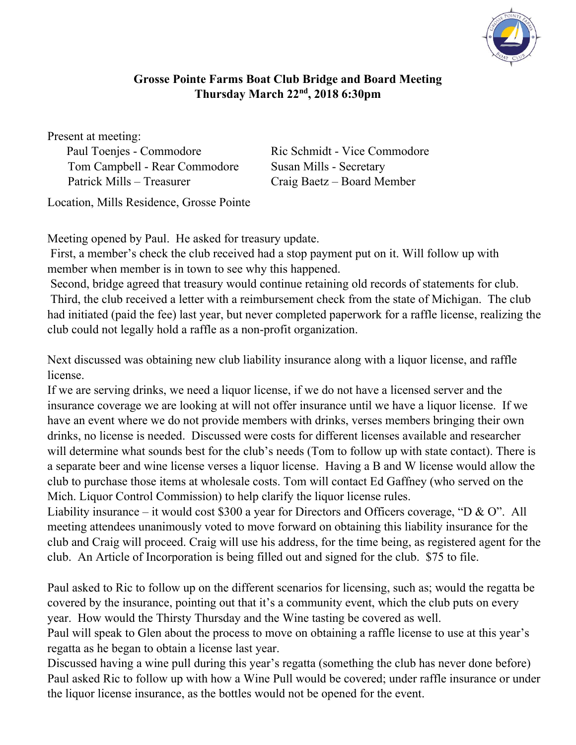

## **Grosse Pointe Farms Boat Club Bridge and Board Meeting Thursday March 22nd, 2018 6:30pm**

Present at meeting:

Paul Toenjes - Commodore Ric Schmidt - Vice Commodore Tom Campbell - Rear Commodore Susan Mills - Secretary Patrick Mills – Treasurer Craig Baetz – Board Member

Location, Mills Residence, Grosse Pointe

Meeting opened by Paul. He asked for treasury update.

 First, a member's check the club received had a stop payment put on it. Will follow up with member when member is in town to see why this happened.

 Second, bridge agreed that treasury would continue retaining old records of statements for club. Third, the club received a letter with a reimbursement check from the state of Michigan. The club had initiated (paid the fee) last year, but never completed paperwork for a raffle license, realizing the club could not legally hold a raffle as a non-profit organization.

Next discussed was obtaining new club liability insurance along with a liquor license, and raffle license.

If we are serving drinks, we need a liquor license, if we do not have a licensed server and the insurance coverage we are looking at will not offer insurance until we have a liquor license. If we have an event where we do not provide members with drinks, verses members bringing their own drinks, no license is needed. Discussed were costs for different licenses available and researcher will determine what sounds best for the club's needs (Tom to follow up with state contact). There is a separate beer and wine license verses a liquor license. Having a B and W license would allow the club to purchase those items at wholesale costs. Tom will contact Ed Gaffney (who served on the Mich. Liquor Control Commission) to help clarify the liquor license rules.

Liability insurance – it would cost \$300 a year for Directors and Officers coverage, "D & O". All meeting attendees unanimously voted to move forward on obtaining this liability insurance for the club and Craig will proceed. Craig will use his address, for the time being, as registered agent for the club. An Article of Incorporation is being filled out and signed for the club. \$75 to file.

Paul asked to Ric to follow up on the different scenarios for licensing, such as; would the regatta be covered by the insurance, pointing out that it's a community event, which the club puts on every year. How would the Thirsty Thursday and the Wine tasting be covered as well.

Paul will speak to Glen about the process to move on obtaining a raffle license to use at this year's regatta as he began to obtain a license last year.

Discussed having a wine pull during this year's regatta (something the club has never done before) Paul asked Ric to follow up with how a Wine Pull would be covered; under raffle insurance or under the liquor license insurance, as the bottles would not be opened for the event.